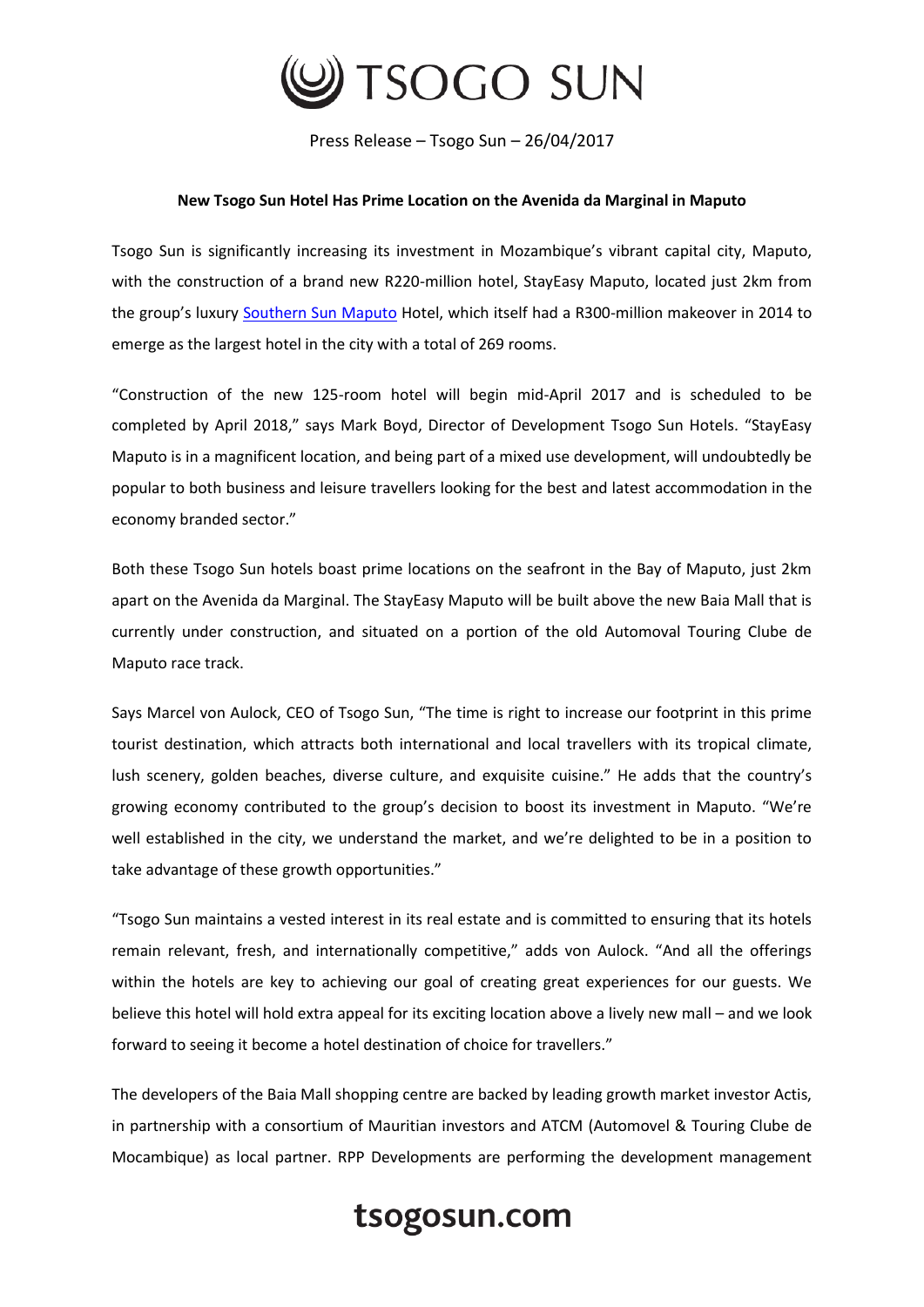

Press Release – Tsogo Sun – 26/04/2017

## **New Tsogo Sun Hotel Has Prime Location on the Avenida da Marginal in Maputo**

Tsogo Sun is significantly increasing its investment in Mozambique's vibrant capital city, Maputo, with the construction of a brand new R220-million hotel, StayEasy Maputo, located just 2km from the group's luxury [Southern Sun Maputo](https://www.tsogosun.com/southern-sun-maputo) Hotel, which itself had a R300-million makeover in 2014 to emerge as the largest hotel in the city with a total of 269 rooms.

"Construction of the new 125-room hotel will begin mid-April 2017 and is scheduled to be completed by April 2018," says Mark Boyd, Director of Development Tsogo Sun Hotels. "StayEasy Maputo is in a magnificent location, and being part of a mixed use development, will undoubtedly be popular to both business and leisure travellers looking for the best and latest accommodation in the economy branded sector."

Both these Tsogo Sun hotels boast prime locations on the seafront in the Bay of Maputo, just 2km apart on the Avenida da Marginal. The StayEasy Maputo will be built above the new Baia Mall that is currently under construction, and situated on a portion of the old Automoval Touring Clube de Maputo race track.

Says Marcel von Aulock, CEO of Tsogo Sun, "The time is right to increase our footprint in this prime tourist destination, which attracts both international and local travellers with its tropical climate, lush scenery, golden beaches, diverse culture, and exquisite cuisine." He adds that the country's growing economy contributed to the group's decision to boost its investment in Maputo. "We're well established in the city, we understand the market, and we're delighted to be in a position to take advantage of these growth opportunities."

"Tsogo Sun maintains a vested interest in its real estate and is committed to ensuring that its hotels remain relevant, fresh, and internationally competitive," adds von Aulock. "And all the offerings within the hotels are key to achieving our goal of creating great experiences for our guests. We believe this hotel will hold extra appeal for its exciting location above a lively new mall – and we look forward to seeing it become a hotel destination of choice for travellers."

The developers of the Baia Mall shopping centre are backed by leading growth market investor Actis, in partnership with a consortium of Mauritian investors and ATCM (Automovel & Touring Clube de Mocambique) as local partner. RPP Developments are performing the development management

## tsogosun.com